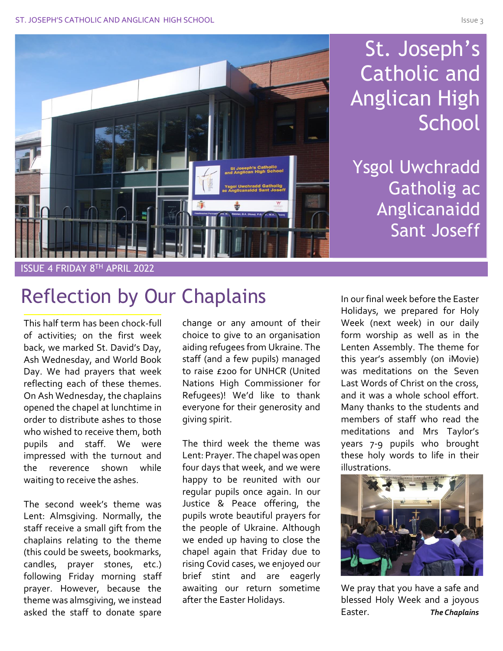# St. Joseph's Catholic and Anglican High **School**

Ysgol Uwchradd Gatholig ac Anglicanaidd Sant Joseff

ISSUE 4 FRIDAY 8TH APRIL 2022

## Reflection by Our Chaplains

This half term has been chock-full of activities; on the first week back, we marked St. David's Day, Ash Wednesday, and World Book Day. We had prayers that week reflecting each of these themes. On Ash Wednesday, the chaplains opened the chapel at lunchtime in order to distribute ashes to those who wished to receive them, both pupils and staff. We were impressed with the turnout and the reverence shown while waiting to receive the ashes.

The second week's theme was Lent: Almsgiving. Normally, the staff receive a small gift from the chaplains relating to the theme (this could be sweets, bookmarks, candles, prayer stones, etc.) following Friday morning staff prayer. However, because the theme was almsgiving, we instead asked the staff to donate spare change or any amount of their choice to give to an organisation aiding refugees from Ukraine. The staff (and a few pupils) managed to raise £200 for UNHCR (United Nations High Commissioner for Refugees)! We'd like to thank everyone for their generosity and giving spirit.

The third week the theme was Lent: Prayer. The chapel was open four days that week, and we were happy to be reunited with our regular pupils once again. In our Justice & Peace offering, the pupils wrote beautiful prayers for the people of Ukraine. Although we ended up having to close the chapel again that Friday due to rising Covid cases, we enjoyed our brief stint and are eagerly awaiting our return sometime after the Easter Holidays.

In our final week before the Easter Holidays, we prepared for Holy Week (next week) in our daily form worship as well as in the Lenten Assembly. The theme for this year's assembly (on iMovie) was meditations on the Seven Last Words of Christ on the cross, and it was a whole school effort. Many thanks to the students and members of staff who read the meditations and Mrs Taylor's years 7-9 pupils who brought these holy words to life in their illustrations.



We pray that you have a safe and blessed Holy Week and a joyous Easter. *The Chaplains*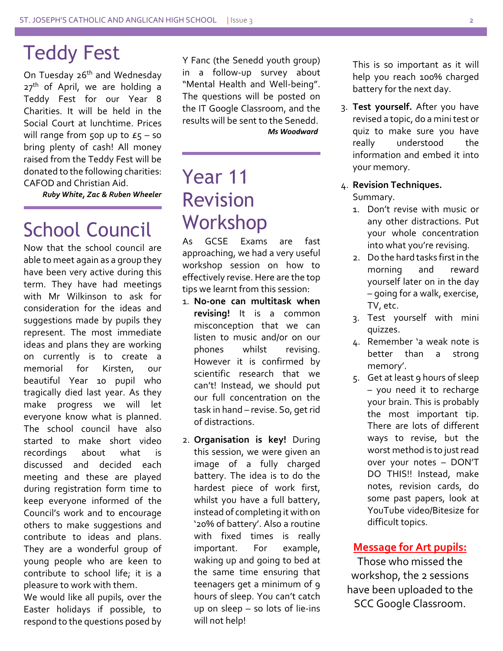### Teddy Fest

On Tuesday 26<sup>th</sup> and Wednesday  $27<sup>th</sup>$  of April, we are holding a Teddy Fest for our Year 8 Charities. It will be held in the Social Court at lunchtime. Prices will range from 50p up to  $E_5$  – so bring plenty of cash! All money raised from the Teddy Fest will be donated to the following charities: CAFOD and Christian Aid.

*Ruby White, Zac & Ruben Wheeler*

# School Council

Now that the school council are able to meet again as a group they have been very active during this term. They have had meetings with Mr Wilkinson to ask for consideration for the ideas and suggestions made by pupils they represent. The most immediate ideas and plans they are working on currently is to create a memorial for Kirsten, our beautiful Year 10 pupil who tragically died last year. As they make progress we will let everyone know what is planned. The school council have also started to make short video recordings about what is discussed and decided each meeting and these are played during registration form time to keep everyone informed of the Council's work and to encourage others to make suggestions and contribute to ideas and plans. They are a wonderful group of young people who are keen to contribute to school life; it is a pleasure to work with them.

We would like all pupils, over the Easter holidays if possible, to respond to the questions posed by

Y Fanc (the Senedd youth group) in a follow-up survey about "Mental Health and Well-being". The questions will be posted on the IT Google Classroom, and the results will be sent to the Senedd.  *Ms Woodward*

## Year 11 Revision Workshop

As GCSE Exams are fast approaching, we had a very useful workshop session on how to effectively revise. Here are the top tips we learnt from this session:

- 1. **No-one can multitask when revising!** It is a common misconception that we can listen to music and/or on our phones whilst revising. However it is confirmed by scientific research that we can't! Instead, we should put our full concentration on the task in hand – revise. So, get rid of distractions.
- 2. **Organisation is key!** During this session, we were given an image of a fully charged battery. The idea is to do the hardest piece of work first, whilst you have a full battery, instead of completing it with on '20% of battery'. Also a routine with fixed times is really important. For example, waking up and going to bed at the same time ensuring that teenagers get a minimum of 9 hours of sleep. You can't catch up on sleep – so lots of lie-ins will not help!

This is so important as it will help you reach 100% charged battery for the next day.

3. **Test yourself.** After you have revised a topic, do a minitest or quiz to make sure you have really understood the information and embed it into your memory.

#### 4. **Revision Techniques.** Summary.

- 1. Don't revise with music or any other distractions. Put your whole concentration into what you're revising.
- 2. Do the hard tasks first in the morning and reward yourself later on in the day – going for a walk, exercise, TV, etc.
- 3. Test yourself with mini quizzes.
- 4. Remember 'a weak note is better than a strong memory'.
- 5. Get at least 9 hours of sleep – you need it to recharge your brain. This is probably the most important tip. There are lots of different ways to revise, but the worst method is to just read over your notes – DON'T DO THIS!! Instead, make notes, revision cards, do some past papers, look at YouTube video/Bitesize for difficult topics.

#### **Message for Art pupils:**

Those who missed the workshop, the 2 sessions have been uploaded to the SCC Google Classroom.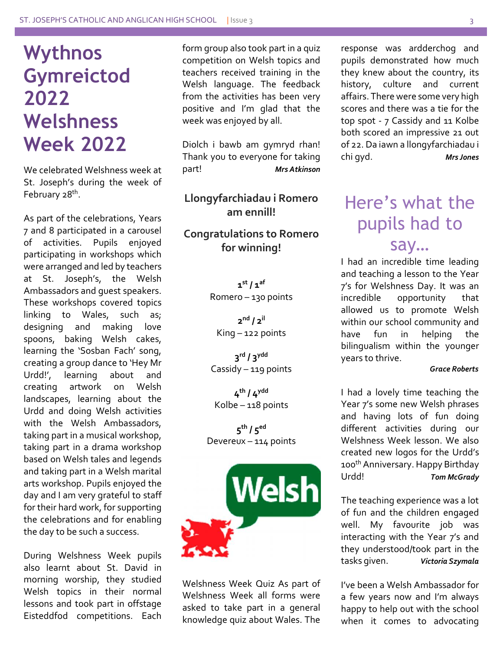## **Wythnos Gymreictod 2022 Welshness Week 2022**

We celebrated Welshness week at St. Joseph's during the week of February 28<sup>th</sup>.

As part of the celebrations, Years 7 and 8 participated in a carousel of activities. Pupils enjoyed participating in workshops which were arranged and led by teachers at St. Joseph's, the Welsh Ambassadors and guest speakers. These workshops covered topics linking to Wales, such as; designing and making love spoons, baking Welsh cakes, learning the 'Sosban Fach' song, creating a group dance to 'Hey Mr Urdd!', learning about and creating artwork on Welsh landscapes, learning about the Urdd and doing Welsh activities with the Welsh Ambassadors, taking part in a musical workshop, taking part in a drama workshop based on Welsh tales and legends and taking part in a Welsh marital arts workshop. Pupils enjoyed the day and I am very grateful to staff for their hard work, for supporting the celebrations and for enabling the day to be such a success.

During Welshness Week pupils also learnt about St. David in morning worship, they studied Welsh topics in their normal lessons and took part in offstage Eisteddfod competitions. Each form group also took part in a quiz competition on Welsh topics and teachers received training in the Welsh language. The feedback from the activities has been very positive and I'm glad that the week was enjoyed by all.

Diolch i bawb am gymryd rhan! Thank you to everyone for taking part! *Mrs Atkinson*

**Llongyfarchiadau i Romero am ennill!**

**Congratulations to Romero for winning!**

> **1 st / 1af** Romero – 130 points

**2 nd / 2il** King – 122 points

**3 rd / 3ydd** Cassidy – 119 points

**4 th / 4ydd** Kolbe – 118 points

**5 th / 5ed** Devereux – 114 points



Welshness Week Quiz As part of Welshness Week all forms were asked to take part in a general knowledge quiz about Wales. The

response was ardderchog and pupils demonstrated how much they knew about the country, its history, culture and current affairs. There were some very high scores and there was a tie for the top spot - 7 Cassidy and 11 Kolbe both scored an impressive 21 out of 22. Da iawn a llongyfarchiadau i chi gyd. *Mrs Jones*

### Here's what the pupils had to say…

I had an incredible time leading and teaching a lesson to the Year 7's for Welshness Day. It was an incredible opportunity that allowed us to promote Welsh within our school community and have fun in helping the bilingualism within the younger years to thrive.

#### *Grace Roberts*

I had a lovely time teaching the Year 7's some new Welsh phrases and having lots of fun doing different activities during our Welshness Week lesson. We also created new logos for the Urdd's 100th Anniversary. Happy Birthday Urdd! *Tom McGrady*

The teaching experience was a lot of fun and the children engaged well. My favourite job was interacting with the Year 7's and they understood/took part in the<br>tasks given. Victoria Szymala tasks given. *Victoria Szymala*

I've been a Welsh Ambassador for a few years now and I'm always happy to help out with the school when it comes to advocating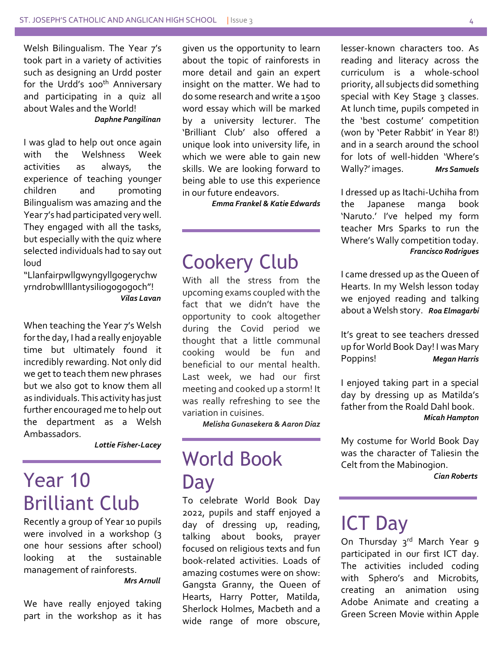Welsh Bilingualism. The Year 7's took part in a variety of activities such as designing an Urdd poster for the Urdd's 100<sup>th</sup> Anniversary and participating in a quiz all about Wales and the World! *Daphne Pangilinan*

### I was glad to help out once again with the Welshness Week activities as always, the experience of teaching younger children and promoting Bilingualism was amazing and the Year 7's had participated very well. They engaged with all the tasks, but especially with the quiz where selected individuals had to say out loud

"Llanfairpwllgwyngyllgogerychw yrndrobwllllantysiliogogogoch"! *Vilas Lavan*

When teaching the Year 7's Welsh for the day, I had a really enjoyable time but ultimately found it incredibly rewarding. Not only did we get to teach them new phrases but we also got to know them all as individuals. This activity has just further encouraged me to help out the department as a Welsh Ambassadors.

*Lottie Fisher-Lacey*

## Year 10 Brilliant Club

Recently a group of Year 10 pupils were involved in a workshop (3) one hour sessions after school) looking at the sustainable management of rainforests.

*Mrs Arnull*

We have really enjoyed taking part in the workshop as it has given us the opportunity to learn about the topic of rainforests in more detail and gain an expert insight on the matter. We had to do some research and write a 1500 word essay which will be marked by a university lecturer. The 'Brilliant Club' also offered a unique look into university life, in which we were able to gain new skills. We are looking forward to being able to use this experience in our future endeavors.

*Emma Frankel & Katie Edwards*

### Cookery Club

With all the stress from the upcoming exams coupled with the fact that we didn't have the opportunity to cook altogether during the Covid period we thought that a little communal cooking would be fun and beneficial to our mental health. Last week, we had our first meeting and cooked up a storm! It was really refreshing to see the variation in cuisines.

 *Melisha Gunasekera & Aaron Diaz*

## World Book Day

To celebrate World Book Day 2022, pupils and staff enjoyed a day of dressing up, reading, talking about books, prayer focused on religious texts and fun book-related activities. Loads of amazing costumes were on show: Gangsta Granny, the Queen of Hearts, Harry Potter, Matilda, Sherlock Holmes, Macbeth and a wide range of more obscure, lesser-known characters too. As reading and literacy across the curriculum is a whole-school priority, all subjects did something special with Key Stage 3 classes. At lunch time, pupils competed in the 'best costume' competition (won by 'Peter Rabbit' in Year 8!) and in a search around the school for lots of well-hidden 'Where's Wally?' images. *Mrs Samuels*

I dressed up as Itachi-Uchiha from the Japanese manga book 'Naruto.' I've helped my form teacher Mrs Sparks to run the Where's Wally competition today. *Francisco Rodrigues*

I came dressed up as the Queen of Hearts. In my Welsh lesson today we enjoyed reading and talking about a Welsh story. *Roa Elmagarbi*

It's great to see teachers dressed up for World Book Day! I was Mary Poppins! *Megan Harris*

I enjoyed taking part in a special day by dressing up as Matilda's father from the Roald Dahl book. *Micah Hampton*

My costume for World Book Day was the character of Taliesin the Celt from the Mabinogion.

*Cian Roberts*

### ICT Day

On Thursday 3rd March Year 9 participated in our first ICT day. The activities included coding with Sphero's and Microbits, creating an animation using Adobe Animate and creating a Green Screen Movie within Apple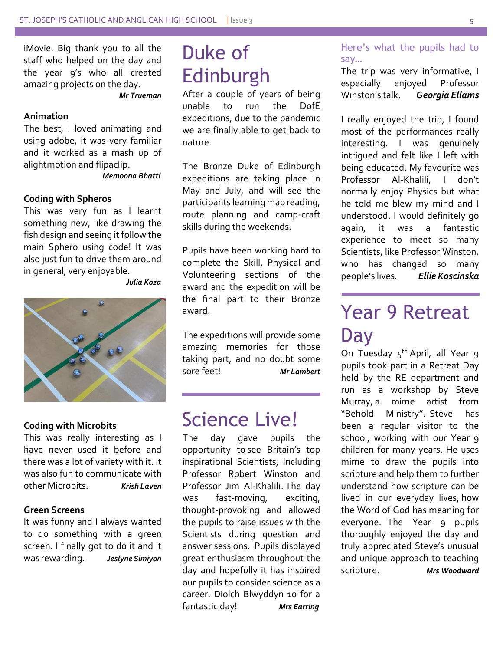iMovie. Big thank you to all the staff who helped on the day and the year 9's who all created amazing projects on the day.

 *Mr Trueman* 

#### **Animation**

The best, I loved animating and using adobe, it was very familiar and it worked as a mash up of alightmotion and flipaclip.

*Memoona Bhatti*

#### **Coding with Spheros**

This was very fun as I learnt something new, like drawing the fish design and seeing it follow the main Sphero using code! It was also just fun to drive them around in general, very enjoyable.

*Julia Koza*



#### **Coding with Microbits**

This was really interesting as I have never used it before and there was a lot of variety with it. It was also fun to communicate with other Microbits. *Krish Laven*

#### **Green Screens**

It was funny and I always wanted to do something with a green screen. I finally got to do it and it<br>was rewarding. Jeslyne Simiyon was rewarding. *Jeslyne Simiyon*

## Duke of Edinburgh

After a couple of years of being unable to run the DofE expeditions, due to the pandemic we are finally able to get back to nature.

The Bronze Duke of Edinburgh expeditions are taking place in May and July, and will see the participants learning map reading, route planning and camp-craft skills during the weekends.

Pupils have been working hard to complete the Skill, Physical and Volunteering sections of the award and the expedition will be the final part to their Bronze award.

The expeditions will provide some amazing memories for those taking part, and no doubt some sore feet! *Mr Lambert*

### Science Live!

The day gave pupils the opportunity to see Britain's top inspirational Scientists, including Professor Robert Winston and Professor Jim Al-Khalili. The day was fast-moving, exciting, thought-provoking and allowed the pupils to raise issues with the Scientists during question and answer sessions. Pupils displayed great enthusiasm throughout the day and hopefully it has inspired our pupils to consider science as a career. Diolch Blwyddyn 10 for a fantastic day! *Mrs Earring*

### Here's what the pupils had to say…

The trip was very informative, I especially enjoyed Professor Winston's talk. *Georgia Ellams*

I really enjoyed the trip, I found most of the performances really interesting. I was genuinely intrigued and felt like I left with being educated. My favourite was Professor Al-Khalili, I don't normally enjoy Physics but what he told me blew my mind and I understood. I would definitely go again, it was a fantastic experience to meet so many Scientists, like Professor Winston, who has changed so many people's lives. *Ellie Koscinska*

## Year 9 Retreat **Day**

On Tuesday 5<sup>th</sup> April, all Year 9 pupils took part in a Retreat Day held by the RE department and run as a workshop by Steve Murray, a mime artist from "Behold Ministry". Steve has been a regular visitor to the school, working with our Year 9 children for many years. He uses mime to draw the pupils into scripture and help them to further understand how scripture can be lived in our everyday lives, how the Word of God has meaning for everyone. The Year 9 pupils thoroughly enjoyed the day and truly appreciated Steve's unusual and unique approach to teaching scripture. *Mrs Woodward*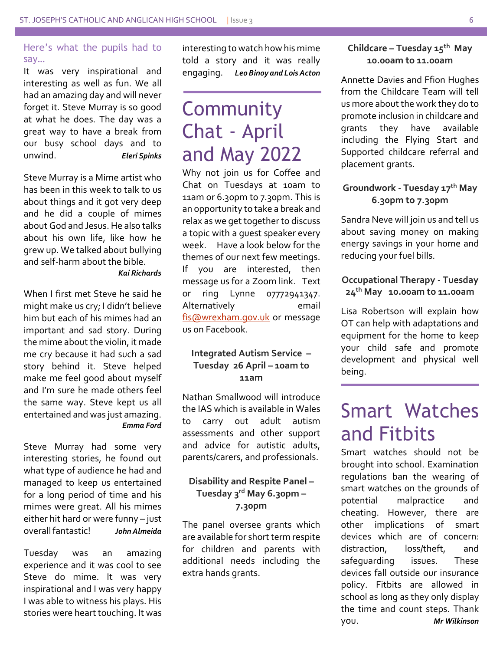### Here's what the pupils had to say…

It was very inspirational and interesting as well as fun. We all had an amazing day and will never forget it. Steve Murray is so good at what he does. The day was a great way to have a break from our busy school days and to unwind. *Eleri Spinks*

Steve Murray is a Mime artist who has been in this week to talk to us about things and it got very deep and he did a couple of mimes about God and Jesus. He also talks about his own life, like how he grew up. We talked about bullying and self-harm about the bible.

#### *Kai Richards*

When I first met Steve he said he might make us cry; I didn't believe him but each of his mimes had an important and sad story. During the mime about the violin, it made me cry because it had such a sad story behind it. Steve helped make me feel good about myself and I'm sure he made others feel the same way. Steve kept us all entertained and was just amazing. *Emma Ford*

Steve Murray had some very interesting stories, he found out what type of audience he had and managed to keep us entertained for a long period of time and his mimes were great. All his mimes either hit hard or were funny – just overall fantastic! *John Almeida*

Tuesday was an amazing experience and it was cool to see Steve do mime. It was very inspirational and I was very happy I was able to witness his plays. His stories were heart touching. It was

interesting to watch how his mime told a story and it was really engaging. *Leo Binoy and Lois Acton*

## **Community** Chat - April and May 2022

Why not join us for Coffee and Chat on Tuesdays at 10am to 11am or 6.30pm to 7.30pm. This is an opportunity to take a break and relax as we get together to discuss a topic with a guest speaker every week. Have a look below for the themes of our next few meetings. If you are interested, then message us for a Zoom link. Text or ring Lynne 07772941347. Alternatively email [fis@wrexham.gov.uk](mailto:fis@wrexham.gov.uk) or message us on Facebook.

### **Integrated Autism Service – Tuesday 26 April – 10am to 11am**

Nathan Smallwood will introduce the IAS which is available in Wales to carry out adult autism assessments and other support and advice for autistic adults, parents/carers, and professionals.

### **Disability and Respite Panel – Tuesday 3rd May 6.30pm – 7.30pm**

The panel oversee grants which are available for short term respite for children and parents with additional needs including the extra hands grants.

### **Childcare – Tuesday 15th May 10.00am to 11.00am**

Annette Davies and Ffion Hughes from the Childcare Team will tell us more about the work they do to promote inclusion in childcare and grants they have available including the Flying Start and Supported childcare referral and placement grants.

### **Groundwork - Tuesday 17th May 6.30pm to 7.30pm**

Sandra Neve will join us and tell us about saving money on making energy savings in your home and reducing your fuel bills.

### **Occupational Therapy - Tuesday 24th May 10.00am to 11.00am**

Lisa Robertson will explain how OT can help with adaptations and equipment for the home to keep your child safe and promote development and physical well being.

## Smart Watches and Fitbits

Smart watches should not be brought into school. Examination regulations ban the wearing of smart watches on the grounds of potential malpractice and cheating. However, there are other implications of smart devices which are of concern: distraction, loss/theft, and safeguarding issues. These devices fall outside our insurance policy. Fitbits are allowed in school as long as they only display the time and count steps. Thank you. *Mr Wilkinson*